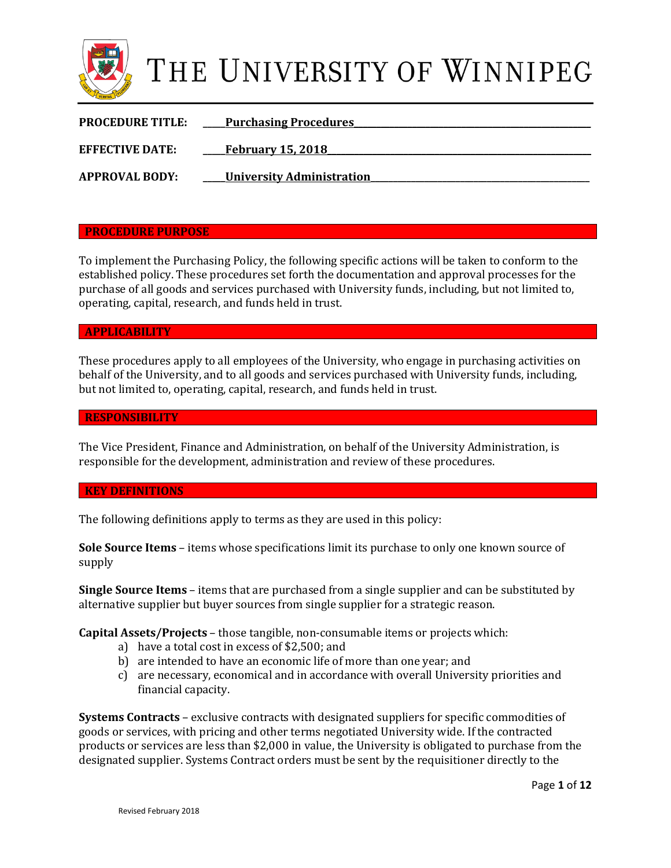

| <b>PROCEDURE TITLE:</b> | <b>Purchasing Procedures</b>     |
|-------------------------|----------------------------------|
| <b>EFFECTIVE DATE:</b>  | <b>February 15, 2018</b>         |
| <b>APPROVAL BODY:</b>   | <b>University Administration</b> |

### **PROCEDURE PURPOSE**

To implement the Purchasing Policy, the following specific actions will be taken to conform to the established policy. These procedures set forth the documentation and approval processes for the purchase of all goods and services purchased with University funds, including, but not limited to, operating, capital, research, and funds held in trust.

### **APPLICABILITY**

These procedures apply to all employees of the University, who engage in purchasing activities on behalf of the University, and to all goods and services purchased with University funds, including, but not limited to, operating, capital, research, and funds held in trust.

### **RESPONSIBILITY**

The Vice President, Finance and Administration, on behalf of the University Administration, is responsible for the development, administration and review of these procedures.

### **KEY DEFINITIONS**

The following definitions apply to terms as they are used in this policy:

**Sole Source Items** – items whose specifications limit its purchase to only one known source of supply

**Single Source Items** – items that are purchased from a single supplier and can be substituted by alternative supplier but buyer sources from single supplier for a strategic reason.

**Capital Assets/Projects** – those tangible, non-consumable items or projects which:

- a) have a total cost in excess of \$2,500; and
- b) are intended to have an economic life of more than one year; and
- c) are necessary, economical and in accordance with overall University priorities and financial capacity.

**Systems Contracts** – exclusive contracts with designated suppliers for specific commodities of goods or services, with pricing and other terms negotiated University wide. If the contracted products or services are less than \$2,000 in value, the University is obligated to purchase from the designated supplier. Systems Contract orders must be sent by the requisitioner directly to the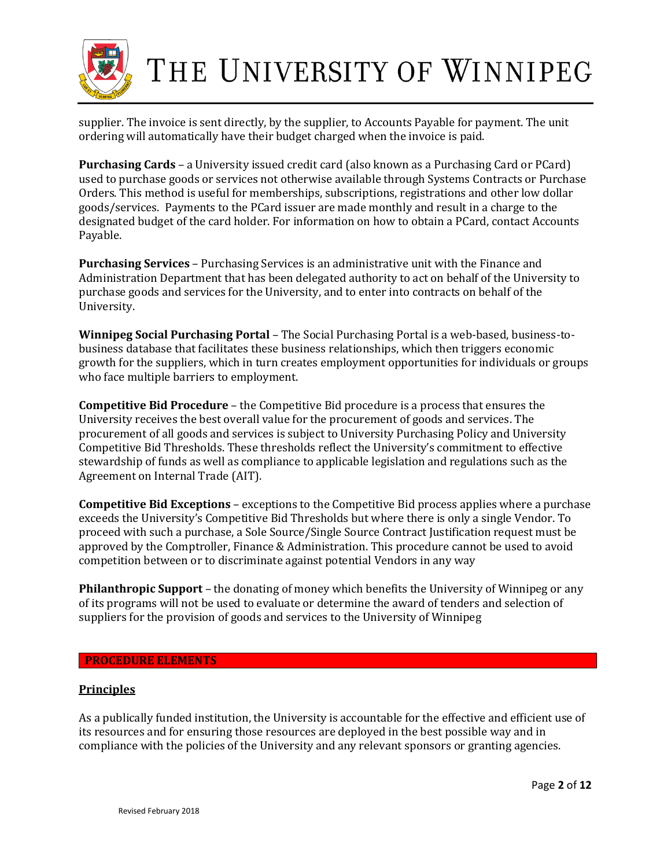

supplier. The invoice is sent directly, by the supplier, to Accounts Payable for payment. The unit ordering will automatically have their budget charged when the invoice is paid.

**Purchasing Cards** – a University issued credit card (also known as a Purchasing Card or PCard) used to purchase goods or services not otherwise available through Systems Contracts or Purchase Orders. This method is useful for memberships, subscriptions, registrations and other low dollar goods/services. Payments to the PCard issuer are made monthly and result in a charge to the designated budget of the card holder. For information on how to obtain a PCard, contact Accounts Payable.

**Purchasing Services** – Purchasing Services is an administrative unit with the Finance and Administration Department that has been delegated authority to act on behalf of the University to purchase goods and services for the University, and to enter into contracts on behalf of the University.

**Winnipeg Social Purchasing Portal** – The Social Purchasing Portal is a web-based, business-tobusiness database that facilitates these business relationships, which then triggers economic growth for the suppliers, which in turn creates employment opportunities for individuals or groups who face multiple barriers to employment.

**Competitive Bid Procedure** – the Competitive Bid procedure is a process that ensures the University receives the best overall value for the procurement of goods and services. The procurement of all goods and services is subject to University Purchasing Policy and University Competitive Bid Thresholds. These thresholds reflect the University's commitment to effective stewardship of funds as well as compliance to applicable legislation and regulations such as the Agreement on Internal Trade (AIT).

**Competitive Bid Exceptions** – exceptions to the Competitive Bid process applies where a purchase exceeds the University's Competitive Bid Thresholds but where there is only a single Vendor. To proceed with such a purchase, a Sole Source/Single Source Contract Justification request must be approved by the Comptroller, Finance & Administration. This procedure cannot be used to avoid competition between or to discriminate against potential Vendors in any way

**Philanthropic Support** – the donating of money which benefits the University of Winnipeg or any of its programs will not be used to evaluate or determine the award of tenders and selection of suppliers for the provision of goods and services to the University of Winnipeg

### **PROCEDURE ELEMENTS**

### **Principles**

As a publically funded institution, the University is accountable for the effective and efficient use of its resources and for ensuring those resources are deployed in the best possible way and in compliance with the policies of the University and any relevant sponsors or granting agencies.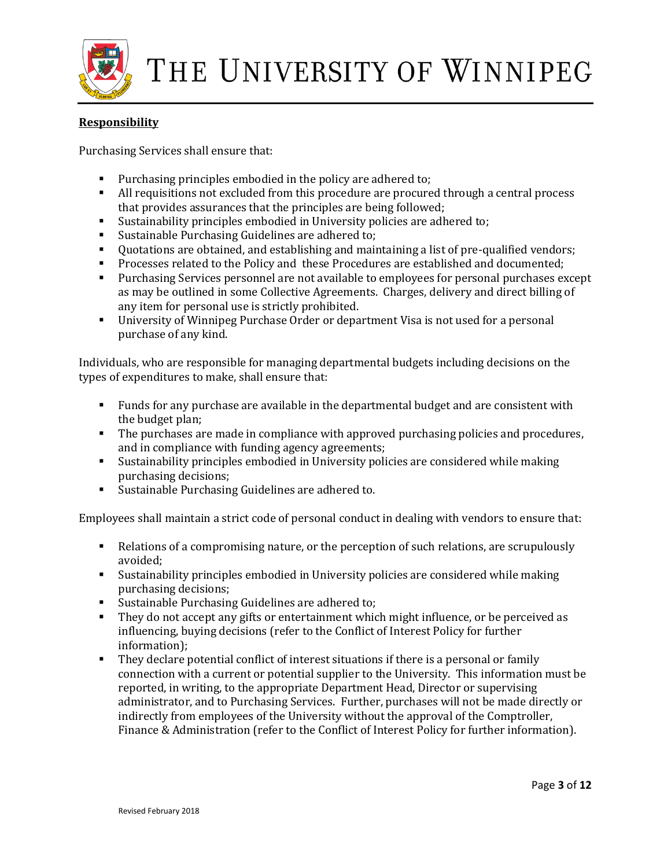

### **Responsibility**

Purchasing Services shall ensure that:

- **Purchasing principles embodied in the policy are adhered to;**
- All requisitions not excluded from this procedure are procured through a central process that provides assurances that the principles are being followed;
- Sustainability principles embodied in University policies are adhered to;
- **Sustainable Purchasing Guidelines are adhered to;**
- Quotations are obtained, and establishing and maintaining a list of pre-qualified vendors;
- **Processes related to the Policy and these Procedures are established and documented;**
- Purchasing Services personnel are not available to employees for personal purchases except as may be outlined in some Collective Agreements. Charges, delivery and direct billing of any item for personal use is strictly prohibited.
- University of Winnipeg Purchase Order or department Visa is not used for a personal purchase of any kind.

Individuals, who are responsible for managing departmental budgets including decisions on the types of expenditures to make, shall ensure that:

- Funds for any purchase are available in the departmental budget and are consistent with the budget plan;
- The purchases are made in compliance with approved purchasing policies and procedures, and in compliance with funding agency agreements;
- Sustainability principles embodied in University policies are considered while making purchasing decisions;
- Sustainable Purchasing Guidelines are adhered to.

Employees shall maintain a strict code of personal conduct in dealing with vendors to ensure that:

- Relations of a compromising nature, or the perception of such relations, are scrupulously avoided;
- Sustainability principles embodied in University policies are considered while making purchasing decisions;
- **Sustainable Purchasing Guidelines are adhered to;**
- They do not accept any gifts or entertainment which might influence, or be perceived as influencing, buying decisions (refer to the Conflict of Interest Policy for further information);
- They declare potential conflict of interest situations if there is a personal or family connection with a current or potential supplier to the University. This information must be reported, in writing, to the appropriate Department Head, Director or supervising administrator, and to Purchasing Services. Further, purchases will not be made directly or indirectly from employees of the University without the approval of the Comptroller, Finance & Administration (refer to the Conflict of Interest Policy for further information).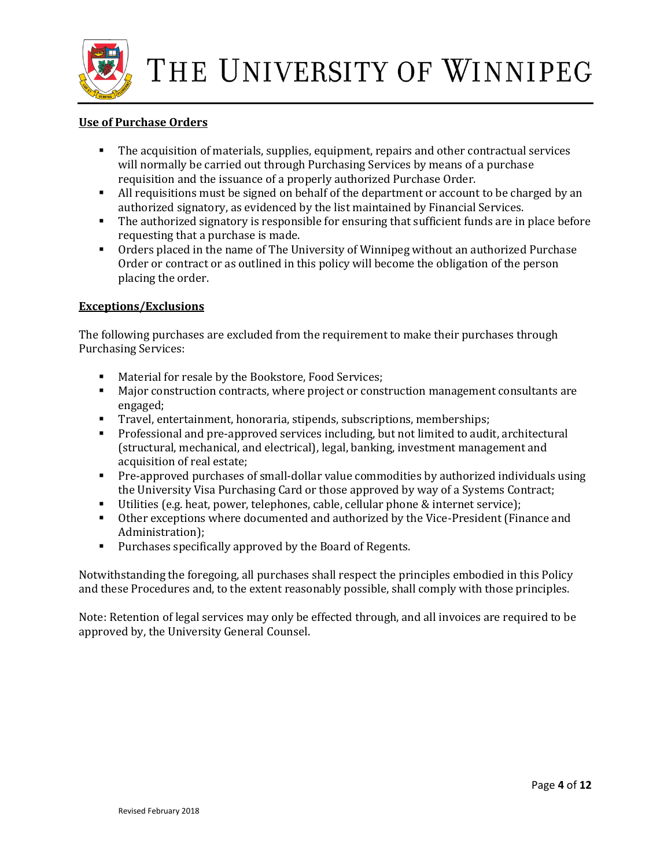

### **Use of Purchase Orders**

- The acquisition of materials, supplies, equipment, repairs and other contractual services will normally be carried out through Purchasing Services by means of a purchase requisition and the issuance of a properly authorized Purchase Order.
- If All requisitions must be signed on behalf of the department or account to be charged by an authorized signatory, as evidenced by the list maintained by Financial Services.
- The authorized signatory is responsible for ensuring that sufficient funds are in place before requesting that a purchase is made.
- Orders placed in the name of The University of Winnipeg without an authorized Purchase Order or contract or as outlined in this policy will become the obligation of the person placing the order.

### **Exceptions/Exclusions**

The following purchases are excluded from the requirement to make their purchases through Purchasing Services:

- Material for resale by the Bookstore, Food Services;
- **Major construction contracts, where project or construction management consultants are** engaged;
- Travel, entertainment, honoraria, stipends, subscriptions, memberships;
- Professional and pre-approved services including, but not limited to audit, architectural (structural, mechanical, and electrical), legal, banking, investment management and acquisition of real estate;
- Pre-approved purchases of small-dollar value commodities by authorized individuals using the University Visa Purchasing Card or those approved by way of a Systems Contract;
- Utilities (e.g. heat, power, telephones, cable, cellular phone & internet service);
- Other exceptions where documented and authorized by the Vice-President (Finance and Administration);
- **Purchases specifically approved by the Board of Regents.**

Notwithstanding the foregoing, all purchases shall respect the principles embodied in this Policy and these Procedures and, to the extent reasonably possible, shall comply with those principles.

Note: Retention of legal services may only be effected through, and all invoices are required to be approved by, the University General Counsel.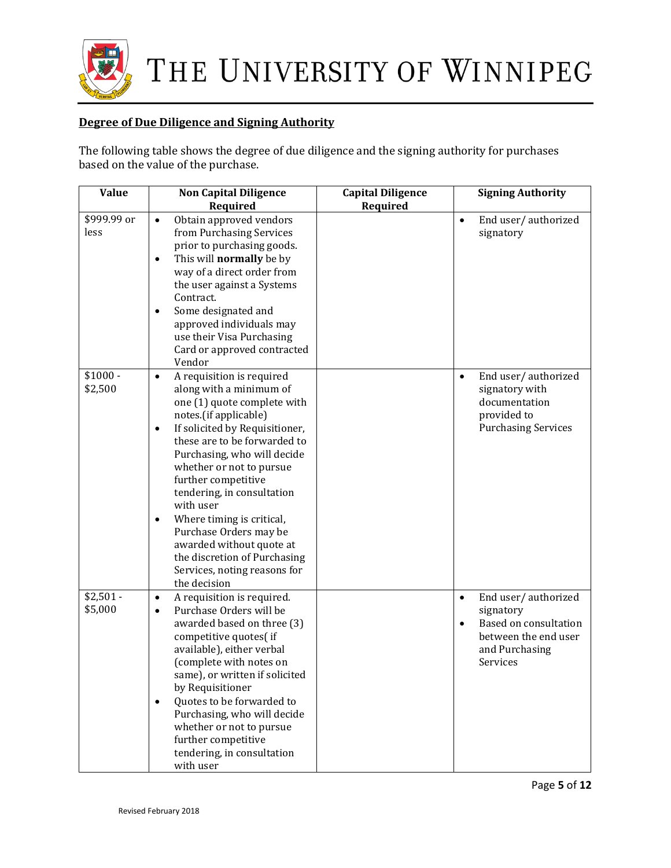

### **Degree of Due Diligence and Signing Authority**

The following table shows the degree of due diligence and the signing authority for purchases based on the value of the purchase.

| <b>Value</b>          | <b>Non Capital Diligence</b><br>Required                                                                                                                                                                                                                                                                                                                                                                                                                                                                      | <b>Capital Diligence</b><br>Required | <b>Signing Authority</b>                                                                                                                         |
|-----------------------|---------------------------------------------------------------------------------------------------------------------------------------------------------------------------------------------------------------------------------------------------------------------------------------------------------------------------------------------------------------------------------------------------------------------------------------------------------------------------------------------------------------|--------------------------------------|--------------------------------------------------------------------------------------------------------------------------------------------------|
| \$999.99 or<br>less   | Obtain approved vendors<br>$\bullet$<br>from Purchasing Services<br>prior to purchasing goods.<br>This will normally be by<br>$\bullet$<br>way of a direct order from<br>the user against a Systems<br>Contract.<br>Some designated and<br>$\bullet$<br>approved individuals may<br>use their Visa Purchasing<br>Card or approved contracted<br>Vendor                                                                                                                                                        |                                      | End user/authorized<br>$\bullet$<br>signatory                                                                                                    |
| $$1000 -$<br>\$2,500  | A requisition is required<br>$\bullet$<br>along with a minimum of<br>one (1) quote complete with<br>notes.(if applicable)<br>If solicited by Requisitioner,<br>$\bullet$<br>these are to be forwarded to<br>Purchasing, who will decide<br>whether or not to pursue<br>further competitive<br>tendering, in consultation<br>with user<br>Where timing is critical,<br>٠<br>Purchase Orders may be<br>awarded without quote at<br>the discretion of Purchasing<br>Services, noting reasons for<br>the decision |                                      | End user/authorized<br>$\bullet$<br>signatory with<br>documentation<br>provided to<br><b>Purchasing Services</b>                                 |
| $$2,501 -$<br>\$5,000 | A requisition is required.<br>$\bullet$<br>Purchase Orders will be<br>$\bullet$<br>awarded based on three (3)<br>competitive quotes(if<br>available), either verbal<br>(complete with notes on<br>same), or written if solicited<br>by Requisitioner<br>Quotes to be forwarded to<br>$\bullet$<br>Purchasing, who will decide<br>whether or not to pursue<br>further competitive<br>tendering, in consultation<br>with user                                                                                   |                                      | End user/authorized<br>$\bullet$<br>signatory<br><b>Based on consultation</b><br>$\bullet$<br>between the end user<br>and Purchasing<br>Services |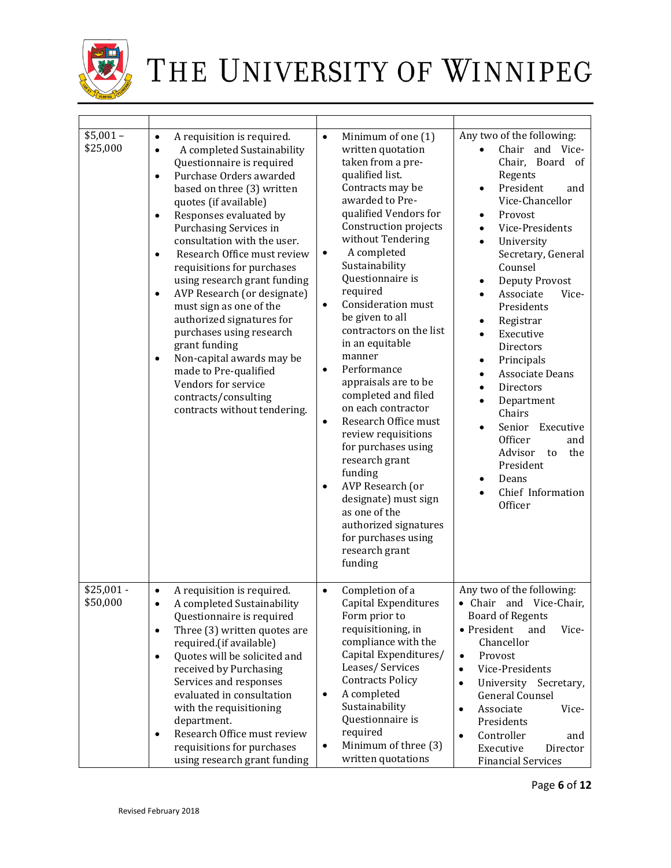

| $$5,001-$<br>\$25,000   | A requisition is required.<br>$\bullet$<br>A completed Sustainability<br>$\bullet$<br>Questionnaire is required<br>Purchase Orders awarded<br>$\bullet$<br>based on three (3) written<br>quotes (if available)<br>Responses evaluated by<br>$\bullet$<br>Purchasing Services in<br>consultation with the user.<br>Research Office must review<br>$\bullet$<br>requisitions for purchases<br>using research grant funding<br>AVP Research (or designate)<br>$\bullet$<br>must sign as one of the<br>authorized signatures for<br>purchases using research<br>grant funding<br>Non-capital awards may be<br>$\bullet$<br>made to Pre-qualified<br>Vendors for service<br>contracts/consulting<br>contracts without tendering. | $\bullet$<br>Minimum of one (1)<br>written quotation<br>taken from a pre-<br>qualified list.<br>Contracts may be<br>awarded to Pre-<br>qualified Vendors for<br>Construction projects<br>without Tendering<br>A completed<br>$\bullet$<br>Sustainability<br>Questionnaire is<br>required<br>Consideration must<br>$\bullet$<br>be given to all<br>contractors on the list<br>in an equitable<br>manner<br>Performance<br>$\bullet$<br>appraisals are to be<br>completed and filed<br>on each contractor<br>Research Office must<br>$\bullet$<br>review requisitions<br>for purchases using<br>research grant<br>funding<br>AVP Research (or<br>$\bullet$<br>designate) must sign<br>as one of the<br>authorized signatures<br>for purchases using<br>research grant<br>funding | Any two of the following:<br>Chair and Vice-<br>Chair, Board of<br>Regents<br>President<br>and<br>$\bullet$<br>Vice-Chancellor<br>Provost<br>$\bullet$<br>Vice-Presidents<br>University<br>Secretary, General<br>Counsel<br><b>Deputy Provost</b><br>$\bullet$<br>Associate<br>Vice-<br>Presidents<br>Registrar<br>$\bullet$<br>Executive<br>Directors<br>Principals<br>$\bullet$<br><b>Associate Deans</b><br>$\bullet$<br><b>Directors</b><br>Department<br>Chairs<br>Senior<br>Executive<br>$\bullet$<br>Officer<br>and<br>Advisor<br>the<br>to<br>President<br>Deans<br>٠<br>Chief Information<br>Officer |
|-------------------------|-----------------------------------------------------------------------------------------------------------------------------------------------------------------------------------------------------------------------------------------------------------------------------------------------------------------------------------------------------------------------------------------------------------------------------------------------------------------------------------------------------------------------------------------------------------------------------------------------------------------------------------------------------------------------------------------------------------------------------|--------------------------------------------------------------------------------------------------------------------------------------------------------------------------------------------------------------------------------------------------------------------------------------------------------------------------------------------------------------------------------------------------------------------------------------------------------------------------------------------------------------------------------------------------------------------------------------------------------------------------------------------------------------------------------------------------------------------------------------------------------------------------------|---------------------------------------------------------------------------------------------------------------------------------------------------------------------------------------------------------------------------------------------------------------------------------------------------------------------------------------------------------------------------------------------------------------------------------------------------------------------------------------------------------------------------------------------------------------------------------------------------------------|
| $$25,001 -$<br>\$50,000 | A requisition is required.<br>$\bullet$<br>A completed Sustainability<br>Questionnaire is required<br>Three (3) written quotes are<br>$\bullet$<br>required.(if available)<br>Quotes will be solicited and<br>$\bullet$<br>received by Purchasing<br>Services and responses<br>evaluated in consultation<br>with the requisitioning<br>department.<br>Research Office must review<br>$\bullet$<br>requisitions for purchases<br>using research grant funding                                                                                                                                                                                                                                                                | Completion of a<br>$\bullet$<br>Capital Expenditures<br>Form prior to<br>requisitioning, in<br>compliance with the<br>Capital Expenditures/<br>Leases/Services<br><b>Contracts Policy</b><br>A completed<br>$\bullet$<br>Sustainability<br>Questionnaire is<br>required<br>Minimum of three (3)<br>$\bullet$<br>written quotations                                                                                                                                                                                                                                                                                                                                                                                                                                             | Any two of the following:<br>• Chair and Vice-Chair,<br><b>Board of Regents</b><br>• President<br>and<br>Vice-<br>Chancellor<br>Provost<br>$\bullet$<br>Vice-Presidents<br>$\bullet$<br>University Secretary,<br>$\bullet$<br><b>General Counsel</b><br>Associate<br>Vice-<br>$\bullet$<br>Presidents<br>Controller<br>and<br>$\bullet$<br>Executive<br>Director<br><b>Financial Services</b>                                                                                                                                                                                                                 |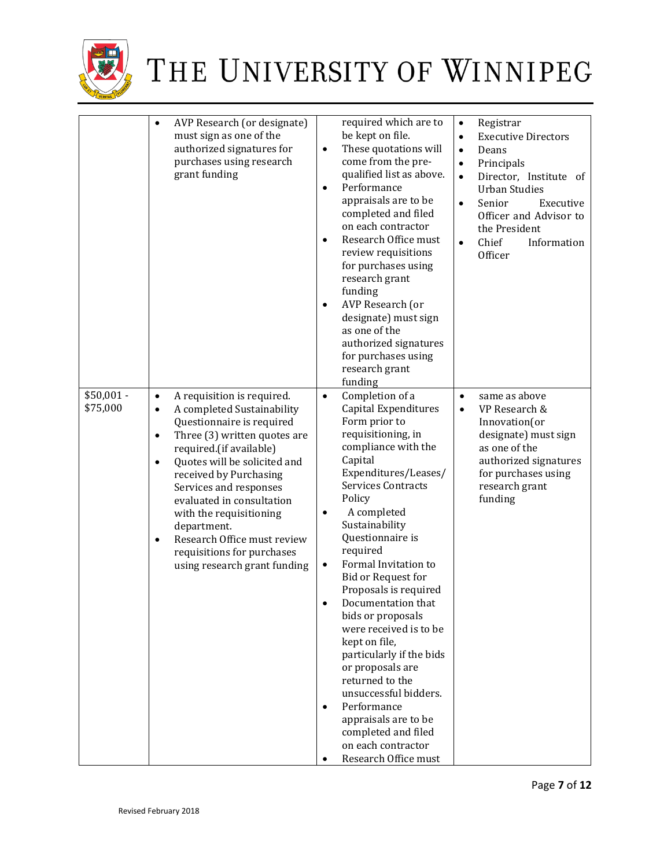

|                         | AVP Research (or designate)<br>$\bullet$<br>must sign as one of the<br>authorized signatures for<br>purchases using research<br>grant funding                                                                                                                                                                                                                                                                                                                             | required which are to<br>be kept on file.<br>These quotations will<br>$\bullet$<br>come from the pre-<br>qualified list as above.<br>Performance<br>$\bullet$<br>appraisals are to be<br>completed and filed<br>on each contractor<br>Research Office must<br>$\bullet$<br>review requisitions<br>for purchases using<br>research grant<br>funding<br>AVP Research (or<br>$\bullet$<br>designate) must sign<br>as one of the<br>authorized signatures<br>for purchases using<br>research grant<br>funding                                                                                                                                    | Registrar<br>$\bullet$<br><b>Executive Directors</b><br>$\bullet$<br>Deans<br>$\bullet$<br>Principals<br>$\bullet$<br>Director, Institute of<br>$\bullet$<br><b>Urban Studies</b><br>Senior<br>Executive<br>$\bullet$<br>Officer and Advisor to<br>the President<br>Chief<br>Information<br>$\bullet$<br>Officer |
|-------------------------|---------------------------------------------------------------------------------------------------------------------------------------------------------------------------------------------------------------------------------------------------------------------------------------------------------------------------------------------------------------------------------------------------------------------------------------------------------------------------|----------------------------------------------------------------------------------------------------------------------------------------------------------------------------------------------------------------------------------------------------------------------------------------------------------------------------------------------------------------------------------------------------------------------------------------------------------------------------------------------------------------------------------------------------------------------------------------------------------------------------------------------|------------------------------------------------------------------------------------------------------------------------------------------------------------------------------------------------------------------------------------------------------------------------------------------------------------------|
| $$50,001 -$<br>\$75,000 | A requisition is required.<br>$\bullet$<br>A completed Sustainability<br>$\bullet$<br>Questionnaire is required<br>Three (3) written quotes are<br>$\bullet$<br>required.(if available)<br>Quotes will be solicited and<br>$\bullet$<br>received by Purchasing<br>Services and responses<br>evaluated in consultation<br>with the requisitioning<br>department.<br>Research Office must review<br>$\bullet$<br>requisitions for purchases<br>using research grant funding | Completion of a<br>$\bullet$<br>Capital Expenditures<br>Form prior to<br>requisitioning, in<br>compliance with the<br>Capital<br>Expenditures/Leases/<br><b>Services Contracts</b><br>Policy<br>A completed<br>٠<br>Sustainability<br>Questionnaire is<br>required<br>Formal Invitation to<br>٠<br>Bid or Request for<br>Proposals is required<br>Documentation that<br>bids or proposals<br>were received is to be<br>kept on file,<br>particularly if the bids<br>or proposals are<br>returned to the<br>unsuccessful bidders.<br>Performance<br>appraisals are to be<br>completed and filed<br>on each contractor<br>Research Office must | same as above<br>$\bullet$<br>VP Research &<br>$\bullet$<br>Innovation(or<br>designate) must sign<br>as one of the<br>authorized signatures<br>for purchases using<br>research grant<br>funding                                                                                                                  |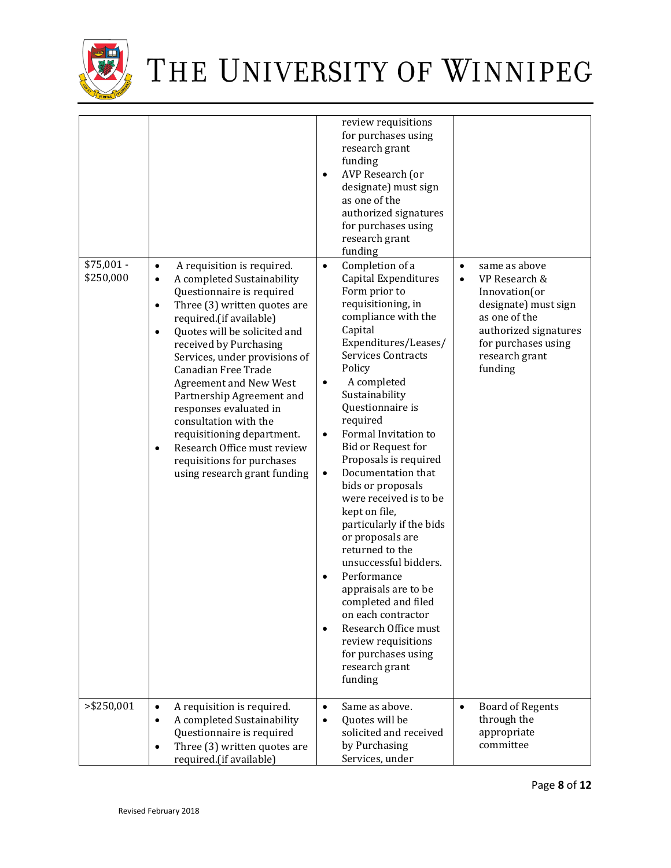

| $$75,001 -$<br>\$250,000 | A requisition is required.<br>$\bullet$<br>A completed Sustainability<br>$\bullet$<br>Questionnaire is required<br>Three (3) written quotes are<br>$\bullet$<br>required.(if available)<br>Quotes will be solicited and<br>$\bullet$<br>received by Purchasing<br>Services, under provisions of<br>Canadian Free Trade | review requisitions<br>for purchases using<br>research grant<br>funding<br>AVP Research (or<br>$\bullet$<br>designate) must sign<br>as one of the<br>authorized signatures<br>for purchases using<br>research grant<br>funding<br>Completion of a<br>$\bullet$<br>Capital Expenditures<br>Form prior to<br>requisitioning, in<br>compliance with the<br>Capital<br>Expenditures/Leases/<br><b>Services Contracts</b><br>Policy                                                                                                                                                        | same as above<br>$\bullet$<br>VP Research &<br>$\bullet$<br>Innovation(or<br>designate) must sign<br>as one of the<br>authorized signatures<br>for purchases using<br>research grant<br>funding |
|--------------------------|------------------------------------------------------------------------------------------------------------------------------------------------------------------------------------------------------------------------------------------------------------------------------------------------------------------------|---------------------------------------------------------------------------------------------------------------------------------------------------------------------------------------------------------------------------------------------------------------------------------------------------------------------------------------------------------------------------------------------------------------------------------------------------------------------------------------------------------------------------------------------------------------------------------------|-------------------------------------------------------------------------------------------------------------------------------------------------------------------------------------------------|
|                          | <b>Agreement and New West</b><br>Partnership Agreement and<br>responses evaluated in<br>consultation with the<br>requisitioning department.<br>Research Office must review<br>$\bullet$<br>requisitions for purchases<br>using research grant funding                                                                  | A completed<br>$\bullet$<br>Sustainability<br>Questionnaire is<br>required<br>Formal Invitation to<br>$\bullet$<br><b>Bid or Request for</b><br>Proposals is required<br>Documentation that<br>$\bullet$<br>bids or proposals<br>were received is to be<br>kept on file,<br>particularly if the bids<br>or proposals are<br>returned to the<br>unsuccessful bidders.<br>Performance<br>$\bullet$<br>appraisals are to be<br>completed and filed<br>on each contractor<br>Research Office must<br>$\bullet$<br>review requisitions<br>for purchases using<br>research grant<br>funding |                                                                                                                                                                                                 |
| $>$ \$250,001            | A requisition is required.<br>$\bullet$<br>A completed Sustainability<br>$\bullet$<br>Questionnaire is required<br>Three (3) written quotes are<br>$\bullet$<br>required.(if available)                                                                                                                                | Same as above.<br>$\bullet$<br>Quotes will be<br>$\bullet$<br>solicited and received<br>by Purchasing<br>Services, under                                                                                                                                                                                                                                                                                                                                                                                                                                                              | <b>Board of Regents</b><br>$\bullet$<br>through the<br>appropriate<br>committee                                                                                                                 |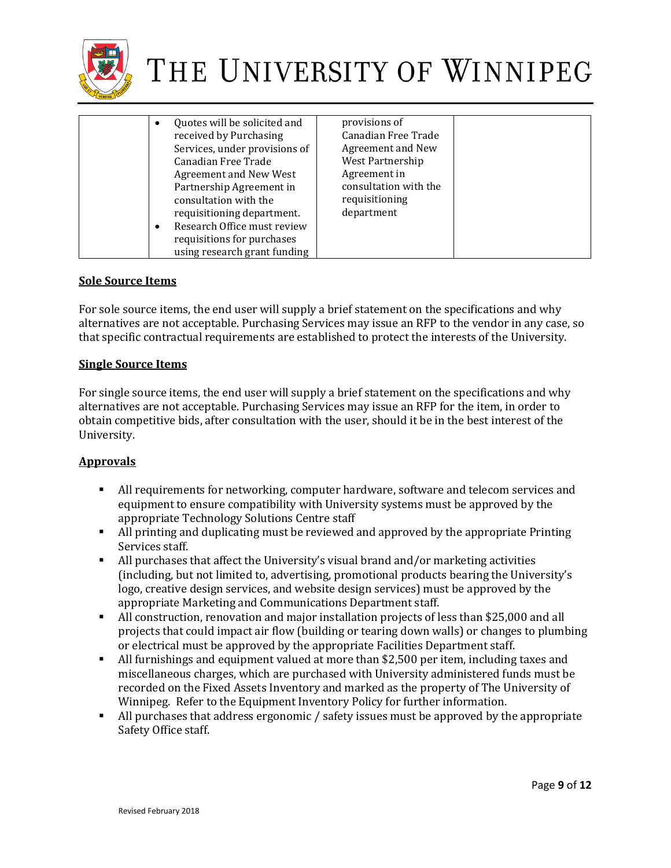

| $\bullet$<br>received by Purchasing<br>Canadian Free Trade<br><b>Agreement and New West</b><br>Partnership Agreement in<br>consultation with the<br>requisitioning department.<br>$\bullet$<br>requisitions for purchases | Quotes will be solicited and<br>Services, under provisions of<br>Research Office must review<br>using research grant funding | provisions of<br>Canadian Free Trade<br>Agreement and New<br>West Partnership<br>Agreement in<br>consultation with the<br>requisitioning<br>department |  |
|---------------------------------------------------------------------------------------------------------------------------------------------------------------------------------------------------------------------------|------------------------------------------------------------------------------------------------------------------------------|--------------------------------------------------------------------------------------------------------------------------------------------------------|--|
|---------------------------------------------------------------------------------------------------------------------------------------------------------------------------------------------------------------------------|------------------------------------------------------------------------------------------------------------------------------|--------------------------------------------------------------------------------------------------------------------------------------------------------|--|

### **Sole Source Items**

For sole source items, the end user will supply a brief statement on the specifications and why alternatives are not acceptable. Purchasing Services may issue an RFP to the vendor in any case, so that specific contractual requirements are established to protect the interests of the University.

### **Single Source Items**

For single source items, the end user will supply a brief statement on the specifications and why alternatives are not acceptable. Purchasing Services may issue an RFP for the item, in order to obtain competitive bids, after consultation with the user, should it be in the best interest of the University.

### **Approvals**

- All requirements for networking, computer hardware, software and telecom services and equipment to ensure compatibility with University systems must be approved by the appropriate Technology Solutions Centre staff
- All printing and duplicating must be reviewed and approved by the appropriate Printing Services staff.
- All purchases that affect the University's visual brand and/or marketing activities (including, but not limited to, advertising, promotional products bearing the University's logo, creative design services, and website design services) must be approved by the appropriate Marketing and Communications Department staff.
- All construction, renovation and major installation projects of less than \$25,000 and all projects that could impact air flow (building or tearing down walls) or changes to plumbing or electrical must be approved by the appropriate Facilities Department staff.
- All furnishings and equipment valued at more than \$2,500 per item, including taxes and miscellaneous charges, which are purchased with University administered funds must be recorded on the Fixed Assets Inventory and marked as the property of The University of Winnipeg. Refer to the Equipment Inventory Policy for further information.
- All purchases that address ergonomic / safety issues must be approved by the appropriate Safety Office staff.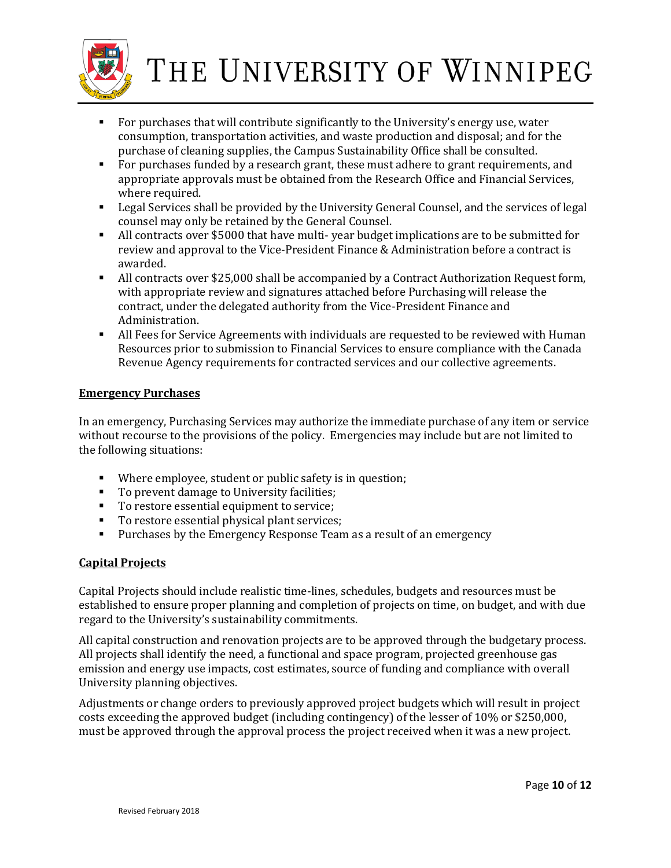

- For purchases that will contribute significantly to the University's energy use, water consumption, transportation activities, and waste production and disposal; and for the purchase of cleaning supplies, the Campus Sustainability Office shall be consulted.
- For purchases funded by a research grant, these must adhere to grant requirements, and appropriate approvals must be obtained from the Research Office and Financial Services, where required.
- Legal Services shall be provided by the University General Counsel, and the services of legal counsel may only be retained by the General Counsel.
- All contracts over \$5000 that have multi- year budget implications are to be submitted for review and approval to the Vice-President Finance & Administration before a contract is awarded.
- All contracts over \$25,000 shall be accompanied by a Contract Authorization Request form, with appropriate review and signatures attached before Purchasing will release the contract, under the delegated authority from the Vice-President Finance and Administration.
- All Fees for Service Agreements with individuals are requested to be reviewed with Human Resources prior to submission to Financial Services to ensure compliance with the Canada Revenue Agency requirements for contracted services and our collective agreements.

### **Emergency Purchases**

In an emergency, Purchasing Services may authorize the immediate purchase of any item or service without recourse to the provisions of the policy. Emergencies may include but are not limited to the following situations:

- Where employee, student or public safety is in question;
- To prevent damage to University facilities;
- To restore essential equipment to service;
- To restore essential physical plant services;
- **Purchases by the Emergency Response Team as a result of an emergency**

### **Capital Projects**

Capital Projects should include realistic time-lines, schedules, budgets and resources must be established to ensure proper planning and completion of projects on time, on budget, and with due regard to the University's sustainability commitments.

All capital construction and renovation projects are to be approved through the budgetary process. All projects shall identify the need, a functional and space program, projected greenhouse gas emission and energy use impacts, cost estimates, source of funding and compliance with overall University planning objectives.

Adjustments or change orders to previously approved project budgets which will result in project costs exceeding the approved budget (including contingency) of the lesser of 10% or \$250,000, must be approved through the approval process the project received when it was a new project.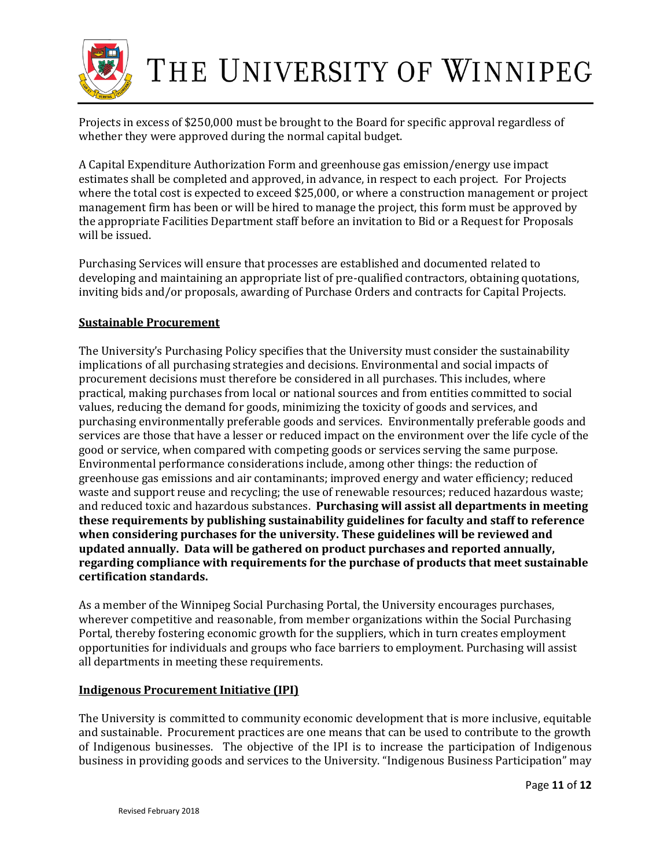

Projects in excess of \$250,000 must be brought to the Board for specific approval regardless of whether they were approved during the normal capital budget.

A Capital Expenditure Authorization Form and greenhouse gas emission/energy use impact estimates shall be completed and approved, in advance, in respect to each project. For Projects where the total cost is expected to exceed \$25,000, or where a construction management or project management firm has been or will be hired to manage the project, this form must be approved by the appropriate Facilities Department staff before an invitation to Bid or a Request for Proposals will be issued.

Purchasing Services will ensure that processes are established and documented related to developing and maintaining an appropriate list of pre-qualified contractors, obtaining quotations, inviting bids and/or proposals, awarding of Purchase Orders and contracts for Capital Projects.

### **Sustainable Procurement**

The University's Purchasing Policy specifies that the University must consider the sustainability implications of all purchasing strategies and decisions. Environmental and social impacts of procurement decisions must therefore be considered in all purchases. This includes, where practical, making purchases from local or national sources and from entities committed to social values, reducing the demand for goods, minimizing the toxicity of goods and services, and purchasing environmentally preferable goods and services. Environmentally preferable goods and services are those that have a lesser or reduced impact on the environment over the life cycle of the good or service, when compared with competing goods or services serving the same purpose. Environmental performance considerations include, among other things: the reduction of greenhouse gas emissions and air contaminants; improved energy and water efficiency; reduced waste and support reuse and recycling; the use of renewable resources; reduced hazardous waste; and reduced toxic and hazardous substances. **Purchasing will assist all departments in meeting these requirements by publishing sustainability guidelines for faculty and staff to reference when considering purchases for the university. These guidelines will be reviewed and updated annually. Data will be gathered on product purchases and reported annually, regarding compliance with requirements for the purchase of products that meet sustainable certification standards.**

As a member of the Winnipeg Social Purchasing Portal, the University encourages purchases, wherever competitive and reasonable, from member organizations within the Social Purchasing Portal, thereby fostering economic growth for the suppliers, which in turn creates employment opportunities for individuals and groups who face barriers to employment. Purchasing will assist all departments in meeting these requirements.

### **Indigenous Procurement Initiative (IPI)**

The University is committed to community economic development that is more inclusive, equitable and sustainable. Procurement practices are one means that can be used to contribute to the growth of Indigenous businesses. The objective of the IPI is to increase the participation of Indigenous business in providing goods and services to the University. "Indigenous Business Participation" may